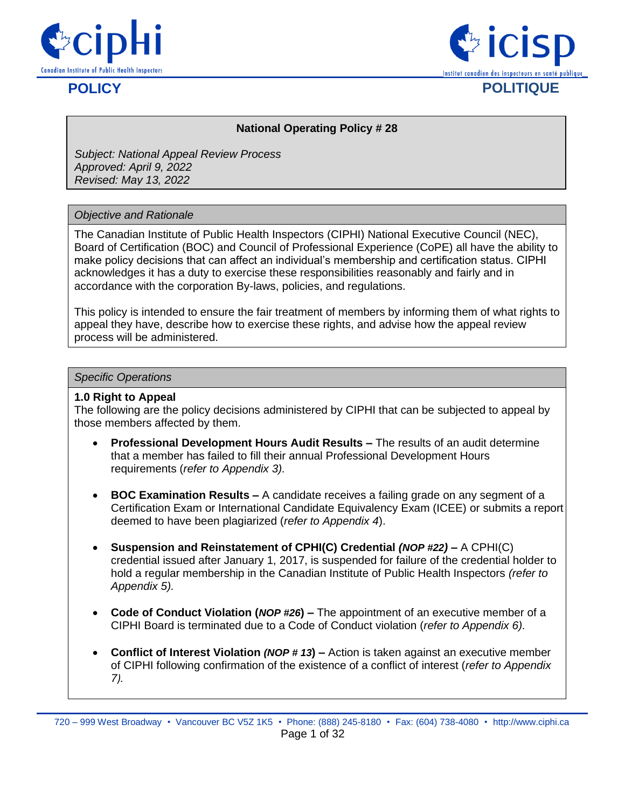



#### **National Operating Policy # 28**

*Subject: National Appeal Review Process Approved: April 9, 2022 Revised: May 13, 2022*

#### *Objective and Rationale*

The Canadian Institute of Public Health Inspectors (CIPHI) National Executive Council (NEC), Board of Certification (BOC) and Council of Professional Experience (CoPE) all have the ability to make policy decisions that can affect an individual's membership and certification status. CIPHI acknowledges it has a duty to exercise these responsibilities reasonably and fairly and in accordance with the corporation By-laws, policies, and regulations.

This policy is intended to ensure the fair treatment of members by informing them of what rights to appeal they have, describe how to exercise these rights, and advise how the appeal review process will be administered.

#### *Specific Operations*

#### **1.0 Right to Appeal**

The following are the policy decisions administered by CIPHI that can be subjected to appeal by those members affected by them.

- **Professional Development Hours Audit Results –** The results of an audit determine that a member has failed to fill their annual Professional Development Hours requirements (*refer to Appendix 3).*
- **BOC Examination Results –** A candidate receives a failing grade on any segment of a Certification Exam or International Candidate Equivalency Exam (ICEE) or submits a report deemed to have been plagiarized (*refer to Appendix 4*).
- **Suspension and Reinstatement of CPHI(C) Credential** *(NOP #22)* **–** A CPHI(C) credential issued after January 1, 2017, is suspended for failure of the credential holder to hold a regular membership in the Canadian Institute of Public Health Inspectors *(refer to Appendix 5).*
- **Code of Conduct Violation (***NOP #26***) –** The appointment of an executive member of a CIPHI Board is terminated due to a Code of Conduct violation (*refer to Appendix 6).*
- **Conflict of Interest Violation** *(NOP # 13***) –** Action is taken against an executive member of CIPHI following confirmation of the existence of a conflict of interest (*refer to Appendix 7).*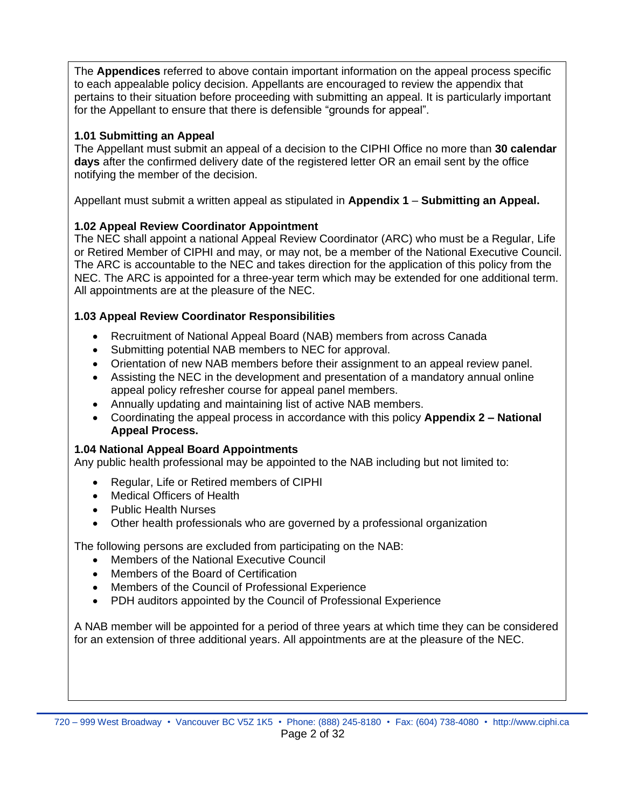The **Appendices** referred to above contain important information on the appeal process specific to each appealable policy decision. Appellants are encouraged to review the appendix that pertains to their situation before proceeding with submitting an appeal. It is particularly important for the Appellant to ensure that there is defensible "grounds for appeal".

## **1.01 Submitting an Appeal**

The Appellant must submit an appeal of a decision to the CIPHI Office no more than **30 calendar days** after the confirmed delivery date of the registered letter OR an email sent by the office notifying the member of the decision.

Appellant must submit a written appeal as stipulated in **Appendix 1** – **Submitting an Appeal.**

## **1.02 Appeal Review Coordinator Appointment**

The NEC shall appoint a national Appeal Review Coordinator (ARC) who must be a Regular, Life or Retired Member of CIPHI and may, or may not, be a member of the National Executive Council. The ARC is accountable to the NEC and takes direction for the application of this policy from the NEC. The ARC is appointed for a three-year term which may be extended for one additional term. All appointments are at the pleasure of the NEC.

## **1.03 Appeal Review Coordinator Responsibilities**

- Recruitment of National Appeal Board (NAB) members from across Canada
- Submitting potential NAB members to NEC for approval.
- Orientation of new NAB members before their assignment to an appeal review panel.
- Assisting the NEC in the development and presentation of a mandatory annual online appeal policy refresher course for appeal panel members.
- Annually updating and maintaining list of active NAB members.
- Coordinating the appeal process in accordance with this policy **Appendix 2 – National Appeal Process.**

## **1.04 National Appeal Board Appointments**

Any public health professional may be appointed to the NAB including but not limited to:

- Regular, Life or Retired members of CIPHI
- Medical Officers of Health
- Public Health Nurses
- Other health professionals who are governed by a professional organization

The following persons are excluded from participating on the NAB:

- Members of the National Executive Council
- Members of the Board of Certification
- Members of the Council of Professional Experience
- PDH auditors appointed by the Council of Professional Experience

A NAB member will be appointed for a period of three years at which time they can be considered for an extension of three additional years. All appointments are at the pleasure of the NEC.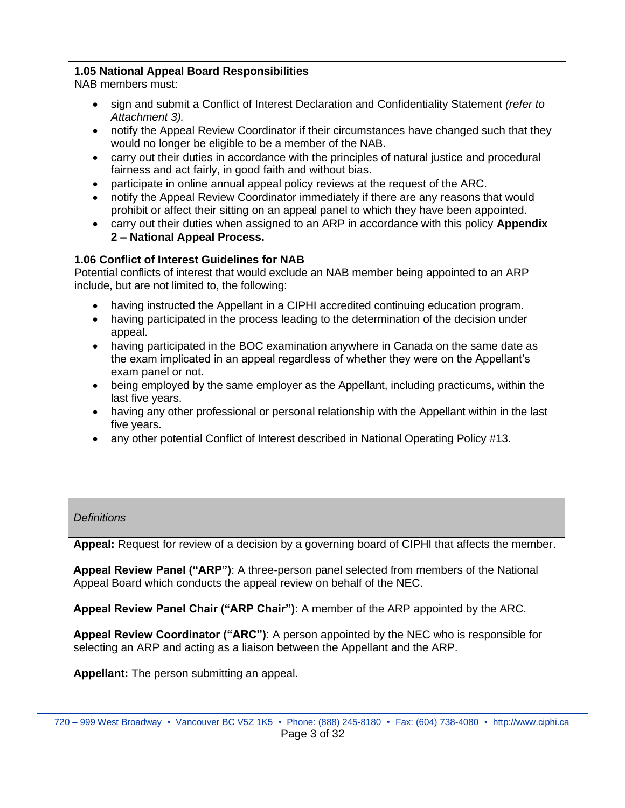## **1.05 National Appeal Board Responsibilities**

NAB members must:

- sign and submit a Conflict of Interest Declaration and Confidentiality Statement *(refer to Attachment 3).*
- notify the Appeal Review Coordinator if their circumstances have changed such that they would no longer be eligible to be a member of the NAB.
- carry out their duties in accordance with the principles of natural justice and procedural fairness and act fairly, in good faith and without bias.
- participate in online annual appeal policy reviews at the request of the ARC.
- notify the Appeal Review Coordinator immediately if there are any reasons that would prohibit or affect their sitting on an appeal panel to which they have been appointed.
- carry out their duties when assigned to an ARP in accordance with this policy **Appendix 2 – National Appeal Process.**

## **1.06 Conflict of Interest Guidelines for NAB**

Potential conflicts of interest that would exclude an NAB member being appointed to an ARP include, but are not limited to, the following:

- having instructed the Appellant in a CIPHI accredited continuing education program.
- having participated in the process leading to the determination of the decision under appeal.
- having participated in the BOC examination anywhere in Canada on the same date as the exam implicated in an appeal regardless of whether they were on the Appellant's exam panel or not.
- being employed by the same employer as the Appellant, including practicums, within the last five years.
- having any other professional or personal relationship with the Appellant within in the last five years.
- any other potential Conflict of Interest described in National Operating Policy #13.

## *Definitions*

**Appeal:** Request for review of a decision by a governing board of CIPHI that affects the member.

**Appeal Review Panel ("ARP")**: A three-person panel selected from members of the National Appeal Board which conducts the appeal review on behalf of the NEC.

**Appeal Review Panel Chair ("ARP Chair")**: A member of the ARP appointed by the ARC.

**Appeal Review Coordinator ("ARC")**: A person appointed by the NEC who is responsible for selecting an ARP and acting as a liaison between the Appellant and the ARP.

**Appellant:** The person submitting an appeal.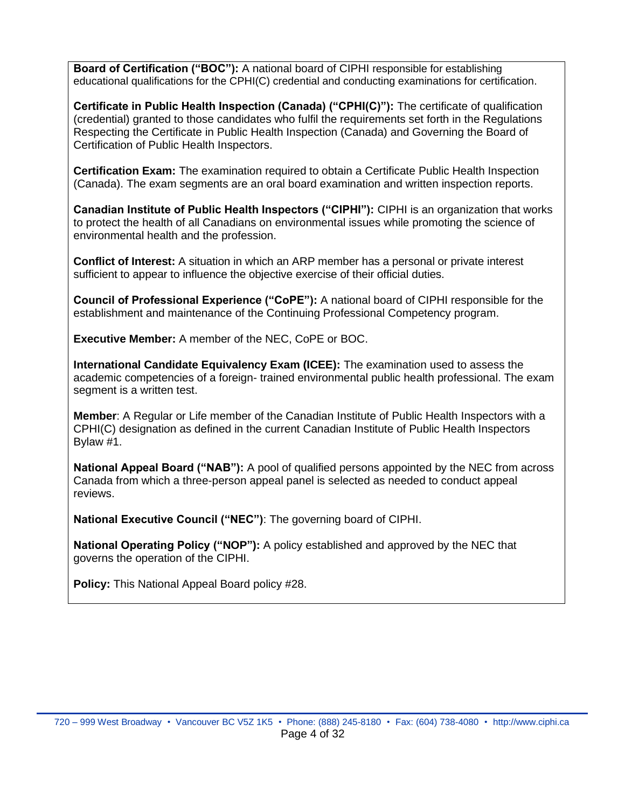**Board of Certification ("BOC"):** A national board of CIPHI responsible for establishing educational qualifications for the CPHI(C) credential and conducting examinations for certification.

**Certificate in Public Health Inspection (Canada) ("CPHI(C)"):** The certificate of qualification (credential) granted to those candidates who fulfil the requirements set forth in the Regulations Respecting the Certificate in Public Health Inspection (Canada) and Governing the Board of Certification of Public Health Inspectors.

**Certification Exam:** The examination required to obtain a Certificate Public Health Inspection (Canada). The exam segments are an oral board examination and written inspection reports.

**Canadian Institute of Public Health Inspectors ("CIPHI"):** CIPHI is an organization that works to protect the health of all Canadians on environmental issues while promoting the science of environmental health and the profession.

**Conflict of Interest:** A situation in which an ARP member has a personal or private interest sufficient to appear to influence the objective exercise of their official duties.

**Council of Professional Experience ("CoPE"):** A national board of CIPHI responsible for the establishment and maintenance of the Continuing Professional Competency program.

**Executive Member:** A member of the NEC, CoPE or BOC.

**International Candidate Equivalency Exam (ICEE):** The examination used to assess the academic competencies of a foreign- trained environmental public health professional. The exam segment is a written test.

**Member**: A Regular or Life member of the Canadian Institute of Public Health Inspectors with a CPHI(C) designation as defined in the current Canadian Institute of Public Health Inspectors Bylaw #1.

**National Appeal Board ("NAB"):** A pool of qualified persons appointed by the NEC from across Canada from which a three-person appeal panel is selected as needed to conduct appeal reviews.

**National Executive Council ("NEC")**: The governing board of CIPHI.

**National Operating Policy ("NOP"):** A policy established and approved by the NEC that governs the operation of the CIPHI.

**Policy:** This National Appeal Board policy #28.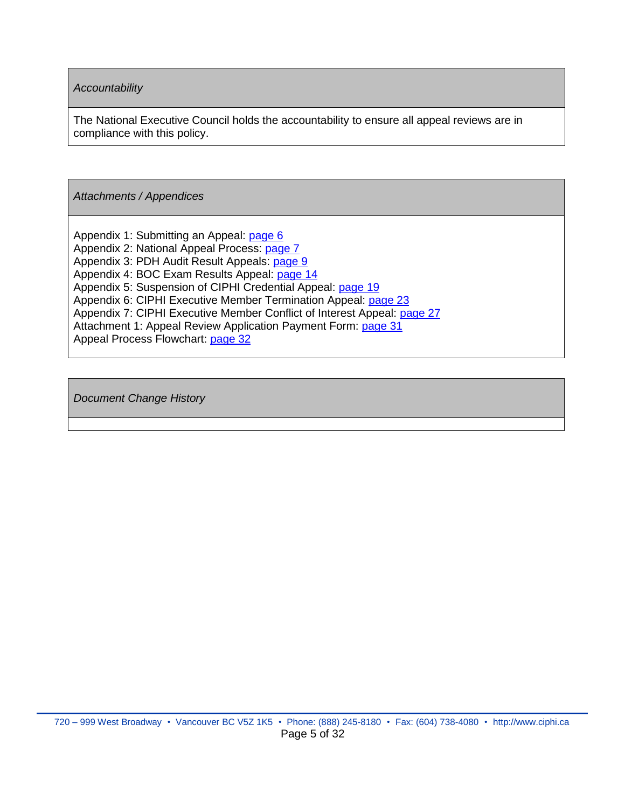*Accountability*

The National Executive Council holds the accountability to ensure all appeal reviews are in compliance with this policy.

*Attachments / Appendices*

Appendix 1: Submitting an Appeal: [page 6](#page-5-0) Appendix 2: National Appeal Process: [page 7](#page-6-0) Appendix 3: PDH Audit Result Appeals: [page 9](#page-8-0) Appendix 4: BOC Exam Results Appeal: [page 14](#page-13-0) Appendix 5: Suspension of CIPHI Credential Appeal: [page 19](#page-18-0) Appendix 6: CIPHI Executive Member Termination Appeal: [page 23](#page-22-0) Appendix 7: CIPHI Executive Member Conflict of Interest Appeal: [page 27](#page-26-0) Attachment 1: Appeal Review Application Payment Form: [page 31](#page-30-0) Appeal Process Flowchart: [page 32](#page-31-0)

*Document Change History*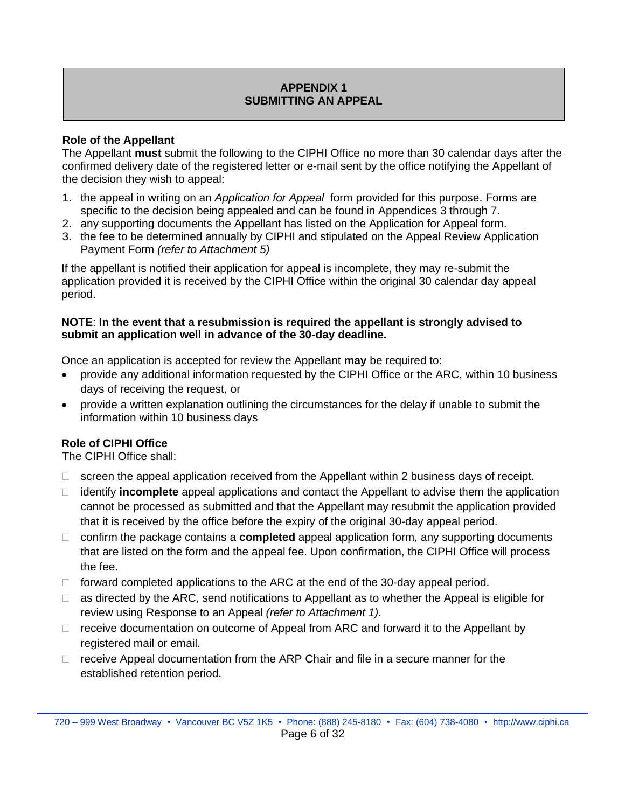## **APPENDIX 1 SUBMITTING AN APPEAL**

#### <span id="page-5-0"></span>**Role of the Appellant**

The Appellant **must** submit the following to the CIPHI Office no more than 30 calendar days after the confirmed delivery date of the registered letter or e-mail sent by the office notifying the Appellant of the decision they wish to appeal:

- 1. the appeal in writing on an *Application for Appeal* form provided for this purpose. Forms are specific to the decision being appealed and can be found in Appendices 3 through 7.
- 2. any supporting documents the Appellant has listed on the Application for Appeal form.
- 3. the fee to be determined annually by CIPHI and stipulated on the Appeal Review Application Payment Form *(refer to Attachment 5)*

If the appellant is notified their application for appeal is incomplete, they may re-submit the application provided it is received by the CIPHI Office within the original 30 calendar day appeal period.

#### **NOTE**: **In the event that a resubmission is required the appellant is strongly advised to submit an application well in advance of the 30-day deadline.**

Once an application is accepted for review the Appellant **may** be required to:

- provide any additional information requested by the CIPHI Office or the ARC, within 10 business days of receiving the request, or
- provide a written explanation outlining the circumstances for the delay if unable to submit the information within 10 business days

## **Role of CIPHI Office**

The CIPHI Office shall:

- $\Box$  screen the appeal application received from the Appellant within 2 business days of receipt.
- identify **incomplete** appeal applications and contact the Appellant to advise them the application cannot be processed as submitted and that the Appellant may resubmit the application provided that it is received by the office before the expiry of the original 30-day appeal period.
- confirm the package contains a **completed** appeal application form, any supporting documents that are listed on the form and the appeal fee. Upon confirmation, the CIPHI Office will process the fee.
- $\Box$  forward completed applications to the ARC at the end of the 30-day appeal period.
- $\Box$  as directed by the ARC, send notifications to Appellant as to whether the Appeal is eligible for review using Response to an Appeal *(refer to Attachment 1)*.
- $\Box$  receive documentation on outcome of Appeal from ARC and forward it to the Appellant by registered mail or email.
- $\Box$  receive Appeal documentation from the ARP Chair and file in a secure manner for the established retention period.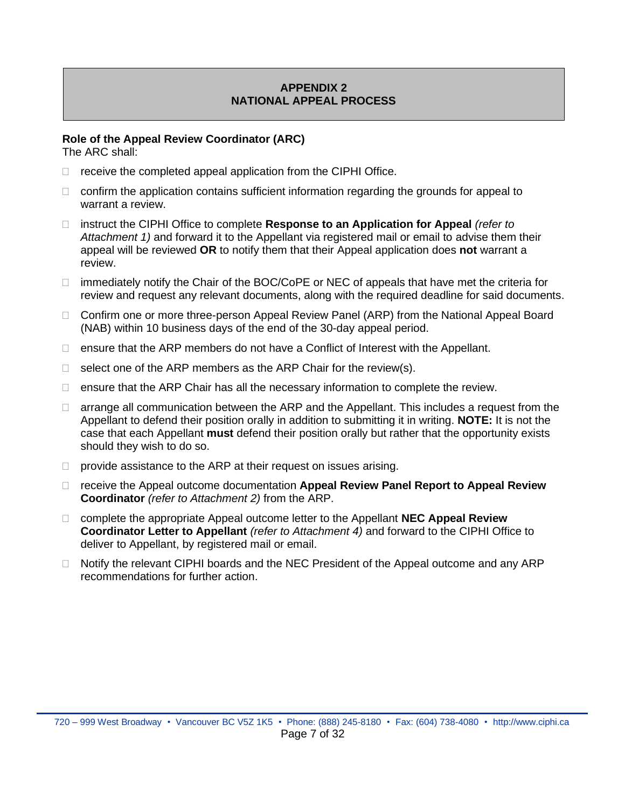## **APPENDIX 2 NATIONAL APPEAL PROCESS**

#### <span id="page-6-0"></span>**Role of the Appeal Review Coordinator (ARC)**

The ARC shall:

- $\Box$  receive the completed appeal application from the CIPHI Office.
- $\Box$  confirm the application contains sufficient information regarding the grounds for appeal to warrant a review.
- □ instruct the CIPHI Office to complete **Response to an Application for Appeal** *(refer to Attachment 1)* and forward it to the Appellant via registered mail or email to advise them their appeal will be reviewed **OR** to notify them that their Appeal application does **not** warrant a review.
- $\Box$  immediately notify the Chair of the BOC/CoPE or NEC of appeals that have met the criteria for review and request any relevant documents, along with the required deadline for said documents.
- □ Confirm one or more three-person Appeal Review Panel (ARP) from the National Appeal Board (NAB) within 10 business days of the end of the 30-day appeal period.
- $\Box$  ensure that the ARP members do not have a Conflict of Interest with the Appellant.
- $\Box$  select one of the ARP members as the ARP Chair for the review(s).
- $\Box$  ensure that the ARP Chair has all the necessary information to complete the review.
- $\Box$  arrange all communication between the ARP and the Appellant. This includes a request from the Appellant to defend their position orally in addition to submitting it in writing. **NOTE:** It is not the case that each Appellant **must** defend their position orally but rather that the opportunity exists should they wish to do so.
- $\Box$  provide assistance to the ARP at their request on issues arising.
- receive the Appeal outcome documentation **Appeal Review Panel Report to Appeal Review Coordinator** *(refer to Attachment 2)* from the ARP.
- complete the appropriate Appeal outcome letter to the Appellant **NEC Appeal Review Coordinator Letter to Appellant** *(refer to Attachment 4)* and forward to the CIPHI Office to deliver to Appellant, by registered mail or email.
- □ Notify the relevant CIPHI boards and the NEC President of the Appeal outcome and any ARP recommendations for further action.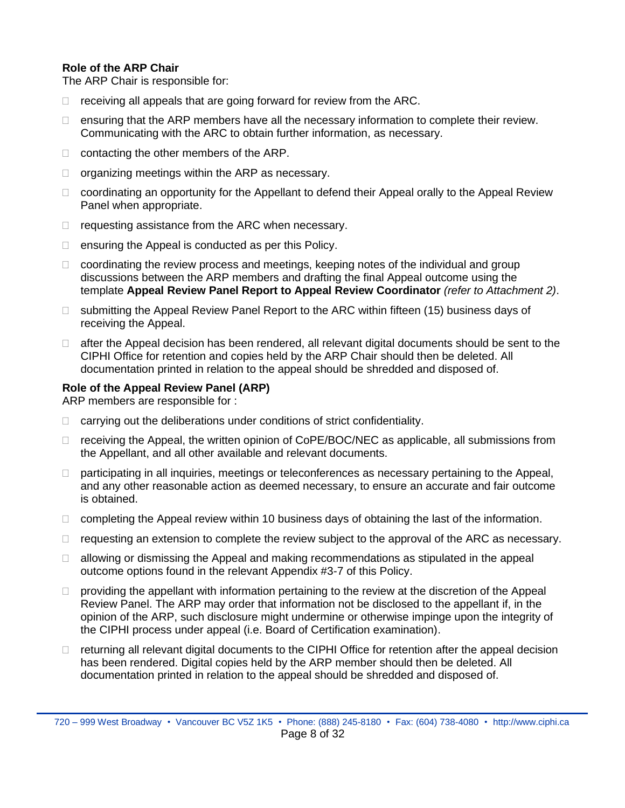#### **Role of the ARP Chair**

The ARP Chair is responsible for:

- $\Box$  receiving all appeals that are going forward for review from the ARC.
- $\Box$  ensuring that the ARP members have all the necessary information to complete their review. Communicating with the ARC to obtain further information, as necessary.
- $\Box$  contacting the other members of the ARP.
- $\Box$  organizing meetings within the ARP as necessary.
- $\Box$  coordinating an opportunity for the Appellant to defend their Appeal orally to the Appeal Review Panel when appropriate.
- $\Box$  requesting assistance from the ARC when necessary.
- $\Box$  ensuring the Appeal is conducted as per this Policy.
- $\Box$  coordinating the review process and meetings, keeping notes of the individual and group discussions between the ARP members and drafting the final Appeal outcome using the template **Appeal Review Panel Report to Appeal Review Coordinator** *(refer to Attachment 2)*.
- $\Box$  submitting the Appeal Review Panel Report to the ARC within fifteen (15) business days of receiving the Appeal.
- $\Box$  after the Appeal decision has been rendered, all relevant digital documents should be sent to the CIPHI Office for retention and copies held by the ARP Chair should then be deleted. All documentation printed in relation to the appeal should be shredded and disposed of.

#### **Role of the Appeal Review Panel (ARP)**

ARP members are responsible for :

- $\Box$  carrying out the deliberations under conditions of strict confidentiality.
- $\Box$  receiving the Appeal, the written opinion of CoPE/BOC/NEC as applicable, all submissions from the Appellant, and all other available and relevant documents.
- $\Box$  participating in all inquiries, meetings or teleconferences as necessary pertaining to the Appeal, and any other reasonable action as deemed necessary, to ensure an accurate and fair outcome is obtained.
- $\Box$  completing the Appeal review within 10 business days of obtaining the last of the information.
- $\Box$  requesting an extension to complete the review subject to the approval of the ARC as necessary.
- $\Box$  allowing or dismissing the Appeal and making recommendations as stipulated in the appeal outcome options found in the relevant Appendix #3-7 of this Policy.
- $\Box$  providing the appellant with information pertaining to the review at the discretion of the Appeal Review Panel. The ARP may order that information not be disclosed to the appellant if, in the opinion of the ARP, such disclosure might undermine or otherwise impinge upon the integrity of the CIPHI process under appeal (i.e. Board of Certification examination).
- $\Box$  returning all relevant digital documents to the CIPHI Office for retention after the appeal decision has been rendered. Digital copies held by the ARP member should then be deleted. All documentation printed in relation to the appeal should be shredded and disposed of.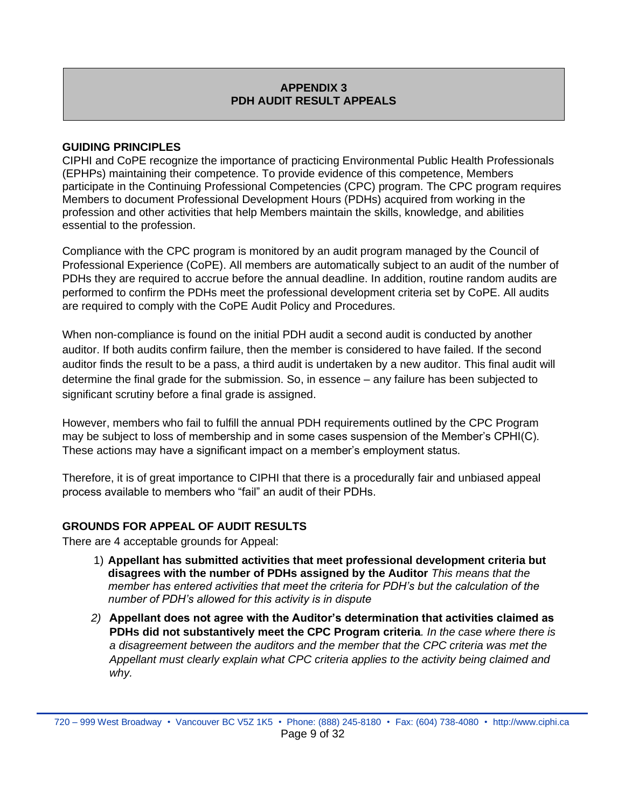## **APPENDIX 3 PDH AUDIT RESULT APPEALS**

#### <span id="page-8-0"></span>**GUIDING PRINCIPLES**

CIPHI and CoPE recognize the importance of practicing Environmental Public Health Professionals (EPHPs) maintaining their competence. To provide evidence of this competence, Members participate in the Continuing Professional Competencies (CPC) program. The CPC program requires Members to document Professional Development Hours (PDHs) acquired from working in the profession and other activities that help Members maintain the skills, knowledge, and abilities essential to the profession.

Compliance with the CPC program is monitored by an audit program managed by the Council of Professional Experience (CoPE). All members are automatically subject to an audit of the number of PDHs they are required to accrue before the annual deadline. In addition, routine random audits are performed to confirm the PDHs meet the professional development criteria set by CoPE. All audits are required to comply with the CoPE Audit Policy and Procedures.

When non-compliance is found on the initial PDH audit a second audit is conducted by another auditor. If both audits confirm failure, then the member is considered to have failed. If the second auditor finds the result to be a pass, a third audit is undertaken by a new auditor. This final audit will determine the final grade for the submission. So, in essence – any failure has been subjected to significant scrutiny before a final grade is assigned.

However, members who fail to fulfill the annual PDH requirements outlined by the CPC Program may be subject to loss of membership and in some cases suspension of the Member's CPHI(C). These actions may have a significant impact on a member's employment status.

Therefore, it is of great importance to CIPHI that there is a procedurally fair and unbiased appeal process available to members who "fail" an audit of their PDHs.

## **GROUNDS FOR APPEAL OF AUDIT RESULTS**

There are 4 acceptable grounds for Appeal:

- 1) **Appellant has submitted activities that meet professional development criteria but disagrees with the number of PDHs assigned by the Auditor** *This means that the member has entered activities that meet the criteria for PDH's but the calculation of the number of PDH's allowed for this activity is in dispute*
- *2)* **Appellant does not agree with the Auditor's determination that activities claimed as PDHs did not substantively meet the CPC Program criteria***. In the case where there is a disagreement between the auditors and the member that the CPC criteria was met the Appellant must clearly explain what CPC criteria applies to the activity being claimed and why.*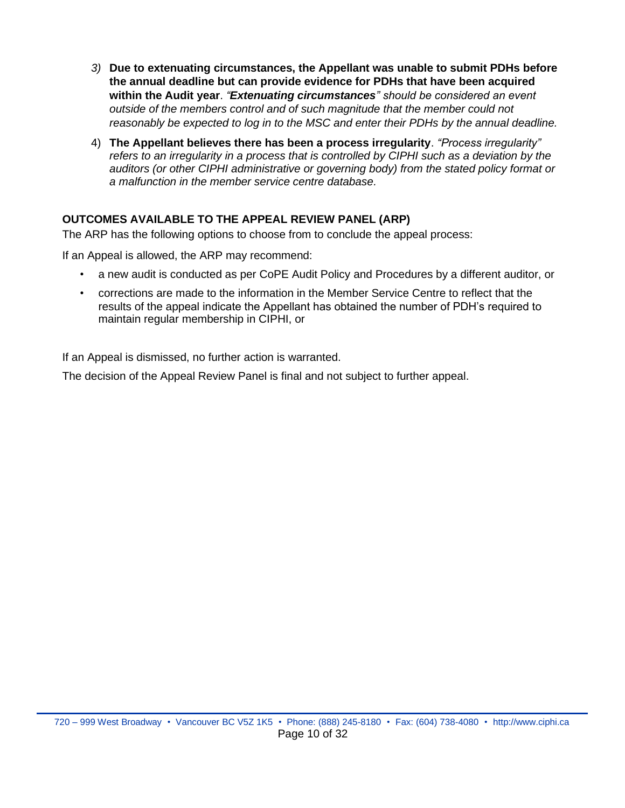- *3)* **Due to extenuating circumstances, the Appellant was unable to submit PDHs before the annual deadline but can provide evidence for PDHs that have been acquired within the Audit year**. *"Extenuating circumstances" should be considered an event outside of the members control and of such magnitude that the member could not reasonably be expected to log in to the MSC and enter their PDHs by the annual deadline.*
- 4) **The Appellant believes there has been a process irregularity**. *"Process irregularity" refers to an irregularity in a process that is controlled by CIPHI such as a deviation by the auditors (or other CIPHI administrative or governing body) from the stated policy format or a malfunction in the member service centre database.*

## **OUTCOMES AVAILABLE TO THE APPEAL REVIEW PANEL (ARP)**

The ARP has the following options to choose from to conclude the appeal process:

If an Appeal is allowed, the ARP may recommend:

- a new audit is conducted as per CoPE Audit Policy and Procedures by a different auditor, or
- corrections are made to the information in the Member Service Centre to reflect that the results of the appeal indicate the Appellant has obtained the number of PDH's required to maintain regular membership in CIPHI, or

If an Appeal is dismissed, no further action is warranted.

The decision of the Appeal Review Panel is final and not subject to further appeal.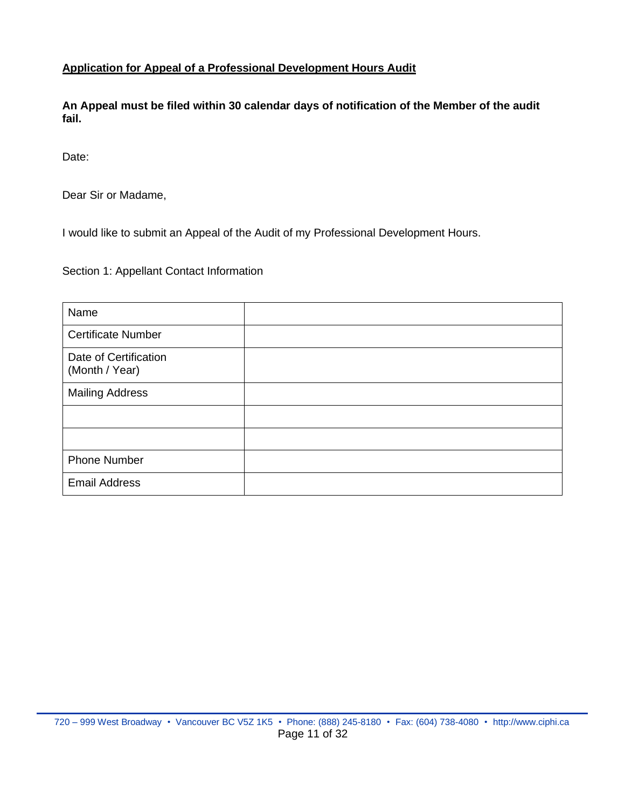#### **Application for Appeal of a Professional Development Hours Audit**

**An Appeal must be filed within 30 calendar days of notification of the Member of the audit fail.**

Date:

Dear Sir or Madame,

I would like to submit an Appeal of the Audit of my Professional Development Hours.

Section 1: Appellant Contact Information

| Name                                    |  |
|-----------------------------------------|--|
| <b>Certificate Number</b>               |  |
| Date of Certification<br>(Month / Year) |  |
| <b>Mailing Address</b>                  |  |
|                                         |  |
|                                         |  |
| <b>Phone Number</b>                     |  |
| <b>Email Address</b>                    |  |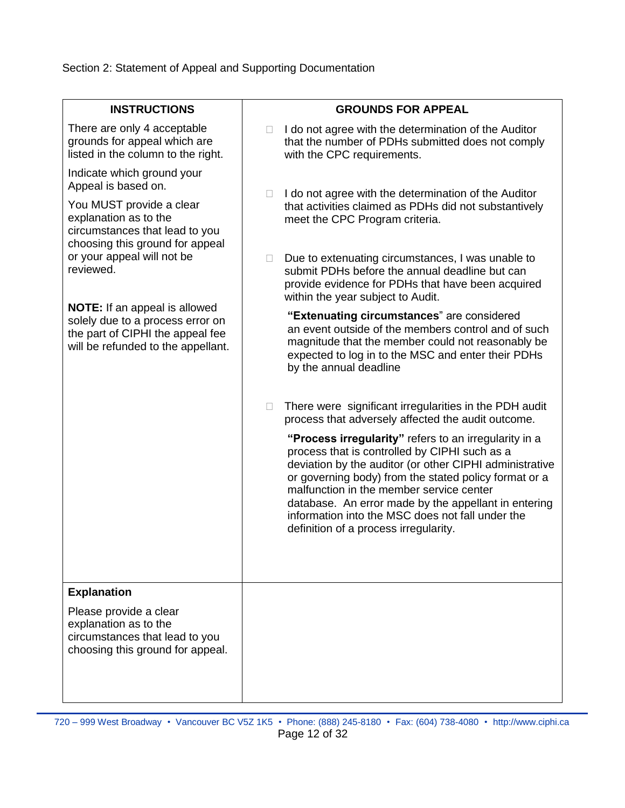Section 2: Statement of Appeal and Supporting Documentation

| <b>INSTRUCTIONS</b>                                                                                                                                                                                                    | <b>GROUNDS FOR APPEAL</b>                                                                                                                                                                                                                                                                                                                                                                                                   |
|------------------------------------------------------------------------------------------------------------------------------------------------------------------------------------------------------------------------|-----------------------------------------------------------------------------------------------------------------------------------------------------------------------------------------------------------------------------------------------------------------------------------------------------------------------------------------------------------------------------------------------------------------------------|
| There are only 4 acceptable<br>grounds for appeal which are<br>listed in the column to the right.                                                                                                                      | I do not agree with the determination of the Auditor<br>that the number of PDHs submitted does not comply<br>with the CPC requirements.                                                                                                                                                                                                                                                                                     |
| Indicate which ground your<br>Appeal is based on.<br>You MUST provide a clear<br>explanation as to the<br>circumstances that lead to you<br>choosing this ground for appeal<br>or your appeal will not be<br>reviewed. | I do not agree with the determination of the Auditor<br>u<br>that activities claimed as PDHs did not substantively<br>meet the CPC Program criteria.                                                                                                                                                                                                                                                                        |
|                                                                                                                                                                                                                        | Due to extenuating circumstances, I was unable to<br>$\Box$<br>submit PDHs before the annual deadline but can<br>provide evidence for PDHs that have been acquired<br>within the year subject to Audit.                                                                                                                                                                                                                     |
| <b>NOTE:</b> If an appeal is allowed<br>solely due to a process error on<br>the part of CIPHI the appeal fee<br>will be refunded to the appellant.                                                                     | "Extenuating circumstances" are considered<br>an event outside of the members control and of such<br>magnitude that the member could not reasonably be<br>expected to log in to the MSC and enter their PDHs<br>by the annual deadline                                                                                                                                                                                      |
|                                                                                                                                                                                                                        | There were significant irregularities in the PDH audit<br>$\Box$<br>process that adversely affected the audit outcome.                                                                                                                                                                                                                                                                                                      |
|                                                                                                                                                                                                                        | "Process irregularity" refers to an irregularity in a<br>process that is controlled by CIPHI such as a<br>deviation by the auditor (or other CIPHI administrative<br>or governing body) from the stated policy format or a<br>malfunction in the member service center<br>database. An error made by the appellant in entering<br>information into the MSC does not fall under the<br>definition of a process irregularity. |
| <b>Explanation</b>                                                                                                                                                                                                     |                                                                                                                                                                                                                                                                                                                                                                                                                             |
| Please provide a clear<br>explanation as to the<br>circumstances that lead to you<br>choosing this ground for appeal.                                                                                                  |                                                                                                                                                                                                                                                                                                                                                                                                                             |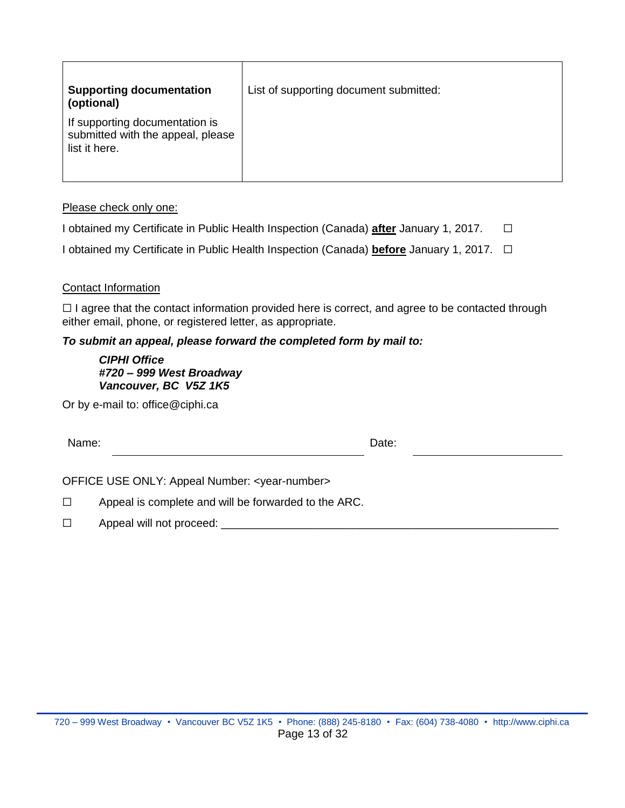| <b>Supporting documentation</b><br>(optional)                                        | List of supporting document submitted: |
|--------------------------------------------------------------------------------------|----------------------------------------|
| If supporting documentation is<br>submitted with the appeal, please<br>list it here. |                                        |

#### Please check only one:

I obtained my Certificate in Public Health Inspection (Canada) **after** January 1, 2017. ☐

I obtained my Certificate in Public Health Inspection (Canada) **before** January 1, 2017. ☐

#### Contact Information

 $\Box$  I agree that the contact information provided here is correct, and agree to be contacted through either email, phone, or registered letter, as appropriate.

#### *To submit an appeal, please forward the completed form by mail to:*

*CIPHI Office #720 – 999 West Broadway Vancouver, BC V5Z 1K5*

Or by e-mail to: office@ciphi.ca

| Name: | Date: |  |
|-------|-------|--|
|       |       |  |

OFFICE USE ONLY: Appeal Number: <year-number>

☐ Appeal is complete and will be forwarded to the ARC.

□ Appeal will not proceed: \_\_\_\_\_\_\_\_\_\_\_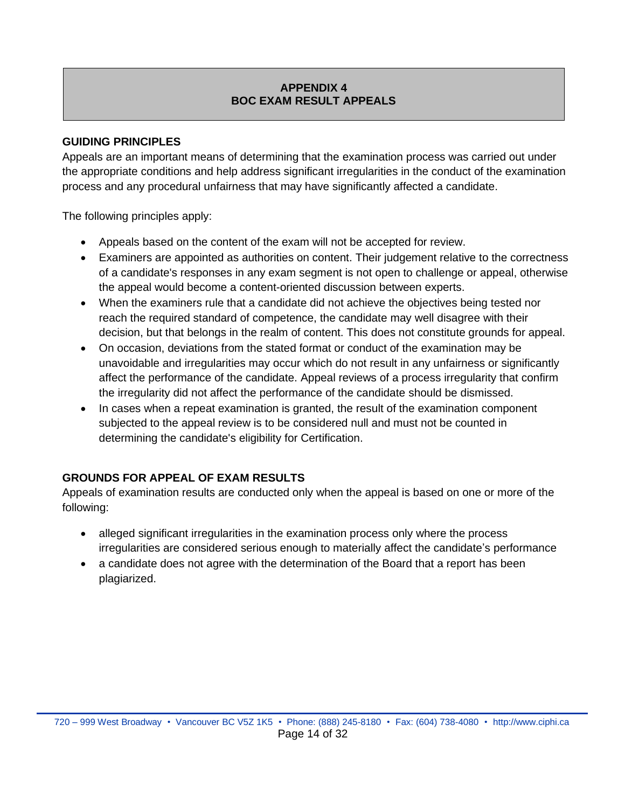## **APPENDIX 4 BOC EXAM RESULT APPEALS**

#### <span id="page-13-0"></span>**GUIDING PRINCIPLES**

Appeals are an important means of determining that the examination process was carried out under the appropriate conditions and help address significant irregularities in the conduct of the examination process and any procedural unfairness that may have significantly affected a candidate.

The following principles apply:

- Appeals based on the content of the exam will not be accepted for review.
- Examiners are appointed as authorities on content. Their judgement relative to the correctness of a candidate's responses in any exam segment is not open to challenge or appeal, otherwise the appeal would become a content-oriented discussion between experts.
- When the examiners rule that a candidate did not achieve the objectives being tested nor reach the required standard of competence, the candidate may well disagree with their decision, but that belongs in the realm of content. This does not constitute grounds for appeal.
- On occasion, deviations from the stated format or conduct of the examination may be unavoidable and irregularities may occur which do not result in any unfairness or significantly affect the performance of the candidate. Appeal reviews of a process irregularity that confirm the irregularity did not affect the performance of the candidate should be dismissed.
- In cases when a repeat examination is granted, the result of the examination component subjected to the appeal review is to be considered null and must not be counted in determining the candidate's eligibility for Certification.

## **GROUNDS FOR APPEAL OF EXAM RESULTS**

Appeals of examination results are conducted only when the appeal is based on one or more of the following:

- alleged significant irregularities in the examination process only where the process irregularities are considered serious enough to materially affect the candidate's performance
- a candidate does not agree with the determination of the Board that a report has been plagiarized.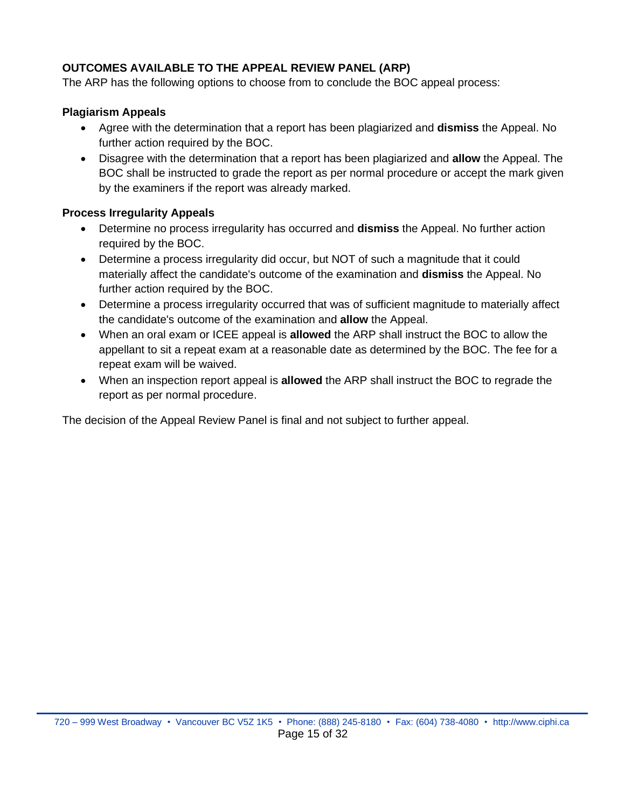## **OUTCOMES AVAILABLE TO THE APPEAL REVIEW PANEL (ARP)**

The ARP has the following options to choose from to conclude the BOC appeal process:

#### **Plagiarism Appeals**

- Agree with the determination that a report has been plagiarized and **dismiss** the Appeal. No further action required by the BOC.
- Disagree with the determination that a report has been plagiarized and **allow** the Appeal. The BOC shall be instructed to grade the report as per normal procedure or accept the mark given by the examiners if the report was already marked.

#### **Process Irregularity Appeals**

- Determine no process irregularity has occurred and **dismiss** the Appeal. No further action required by the BOC.
- Determine a process irregularity did occur, but NOT of such a magnitude that it could materially affect the candidate's outcome of the examination and **dismiss** the Appeal. No further action required by the BOC.
- Determine a process irregularity occurred that was of sufficient magnitude to materially affect the candidate's outcome of the examination and **allow** the Appeal.
- When an oral exam or ICEE appeal is **allowed** the ARP shall instruct the BOC to allow the appellant to sit a repeat exam at a reasonable date as determined by the BOC. The fee for a repeat exam will be waived.
- When an inspection report appeal is **allowed** the ARP shall instruct the BOC to regrade the report as per normal procedure.

The decision of the Appeal Review Panel is final and not subject to further appeal.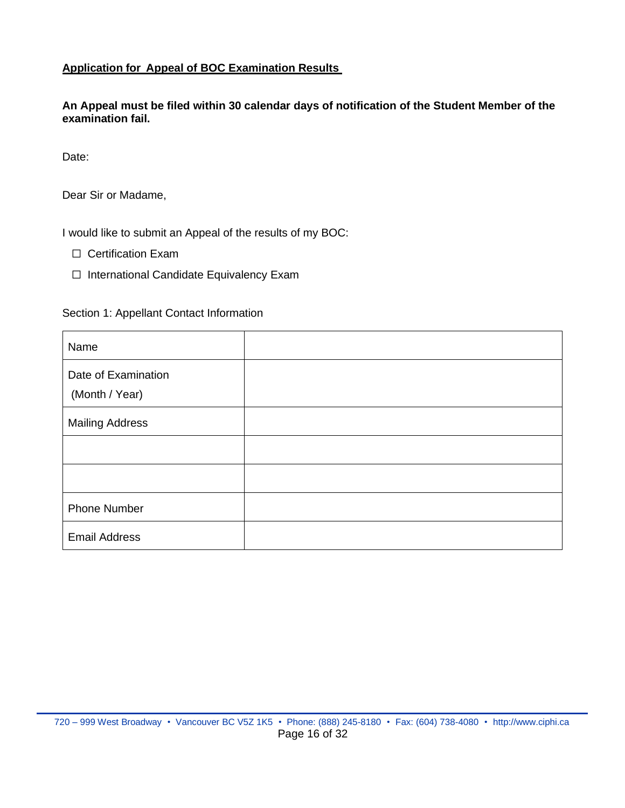## **Application for Appeal of BOC Examination Results**

**An Appeal must be filed within 30 calendar days of notification of the Student Member of the examination fail.**

Date:

Dear Sir or Madame,

I would like to submit an Appeal of the results of my BOC:

- ☐ Certification Exam
- ☐ International Candidate Equivalency Exam

Section 1: Appellant Contact Information

| Name                                  |  |
|---------------------------------------|--|
| Date of Examination<br>(Month / Year) |  |
| <b>Mailing Address</b>                |  |
|                                       |  |
|                                       |  |
| <b>Phone Number</b>                   |  |
| <b>Email Address</b>                  |  |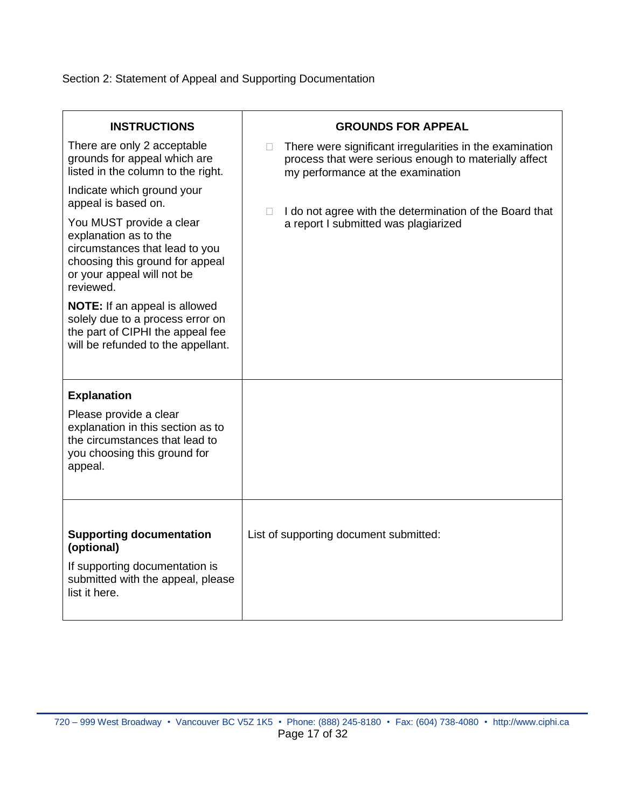## Section 2: Statement of Appeal and Supporting Documentation

| <b>INSTRUCTIONS</b>                                                                                                                                               | <b>GROUNDS FOR APPEAL</b>                                                                                                                                   |
|-------------------------------------------------------------------------------------------------------------------------------------------------------------------|-------------------------------------------------------------------------------------------------------------------------------------------------------------|
| There are only 2 acceptable<br>grounds for appeal which are<br>listed in the column to the right.                                                                 | There were significant irregularities in the examination<br>П<br>process that were serious enough to materially affect<br>my performance at the examination |
| Indicate which ground your<br>appeal is based on.                                                                                                                 | I do not agree with the determination of the Board that<br>n.                                                                                               |
| You MUST provide a clear<br>explanation as to the<br>circumstances that lead to you<br>choosing this ground for appeal<br>or your appeal will not be<br>reviewed. | a report I submitted was plagiarized                                                                                                                        |
| <b>NOTE:</b> If an appeal is allowed<br>solely due to a process error on<br>the part of CIPHI the appeal fee<br>will be refunded to the appellant.                |                                                                                                                                                             |
| <b>Explanation</b>                                                                                                                                                |                                                                                                                                                             |
| Please provide a clear<br>explanation in this section as to<br>the circumstances that lead to<br>you choosing this ground for<br>appeal.                          |                                                                                                                                                             |
|                                                                                                                                                                   |                                                                                                                                                             |
| <b>Supporting documentation</b><br>(optional)                                                                                                                     | List of supporting document submitted:                                                                                                                      |
| If supporting documentation is<br>submitted with the appeal, please<br>list it here.                                                                              |                                                                                                                                                             |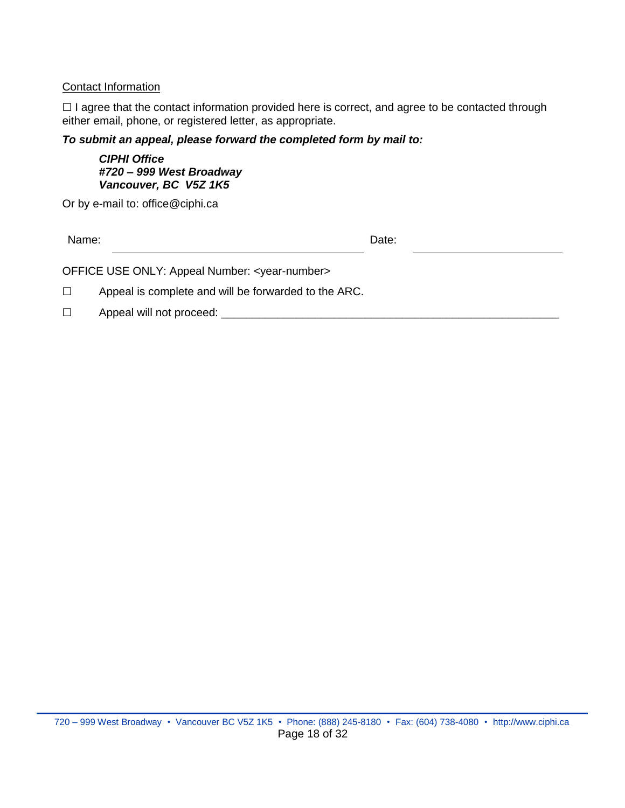#### Contact Information

□ I agree that the contact information provided here is correct, and agree to be contacted through either email, phone, or registered letter, as appropriate.

*To submit an appeal, please forward the completed form by mail to:*

*CIPHI Office #720 – 999 West Broadway Vancouver, BC V5Z 1K5*

Or by e-mail to: office@ciphi.ca

Name: **Name:** Date: **Name:** 2008. **Date:** 2008. **Date:** 2008. **Date:** 2008. **Date:** 2008. 2014. 2015. 2016. 2016. 2016. 2017. 2018. 2017. 2018. 2017. 2018. 2017. 2018. 2017. 2018. 2017. 2018. 2017. 2018. 2017. 2018. 2017.

OFFICE USE ONLY: Appeal Number: <year-number>

☐ Appeal is complete and will be forwarded to the ARC.

□ Appeal will not proceed: \_\_\_\_\_\_\_\_\_\_\_\_\_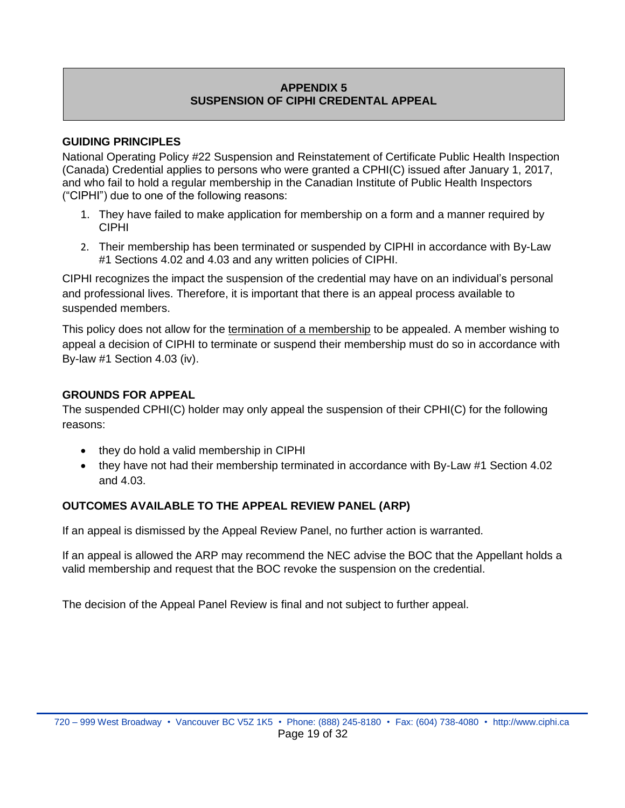## **APPENDIX 5 SUSPENSION OF CIPHI CREDENTAL APPEAL**

#### <span id="page-18-0"></span>**GUIDING PRINCIPLES**

National Operating Policy #22 Suspension and Reinstatement of Certificate Public Health Inspection (Canada) Credential applies to persons who were granted a CPHI(C) issued after January 1, 2017, and who fail to hold a regular membership in the Canadian Institute of Public Health Inspectors ("CIPHI") due to one of the following reasons:

- 1. They have failed to make application for membership on a form and a manner required by CIPHI
- 2. Their membership has been terminated or suspended by CIPHI in accordance with By-Law #1 Sections 4.02 and 4.03 and any written policies of CIPHI.

CIPHI recognizes the impact the suspension of the credential may have on an individual's personal and professional lives. Therefore, it is important that there is an appeal process available to suspended members.

This policy does not allow for the termination of a membership to be appealed. A member wishing to appeal a decision of CIPHI to terminate or suspend their membership must do so in accordance with By-law #1 Section 4.03 (iv).

## **GROUNDS FOR APPEAL**

The suspended CPHI(C) holder may only appeal the suspension of their CPHI(C) for the following reasons:

- they do hold a valid membership in CIPHI
- they have not had their membership terminated in accordance with By-Law #1 Section 4.02 and 4.03.

## **OUTCOMES AVAILABLE TO THE APPEAL REVIEW PANEL (ARP)**

If an appeal is dismissed by the Appeal Review Panel, no further action is warranted.

If an appeal is allowed the ARP may recommend the NEC advise the BOC that the Appellant holds a valid membership and request that the BOC revoke the suspension on the credential.

The decision of the Appeal Panel Review is final and not subject to further appeal.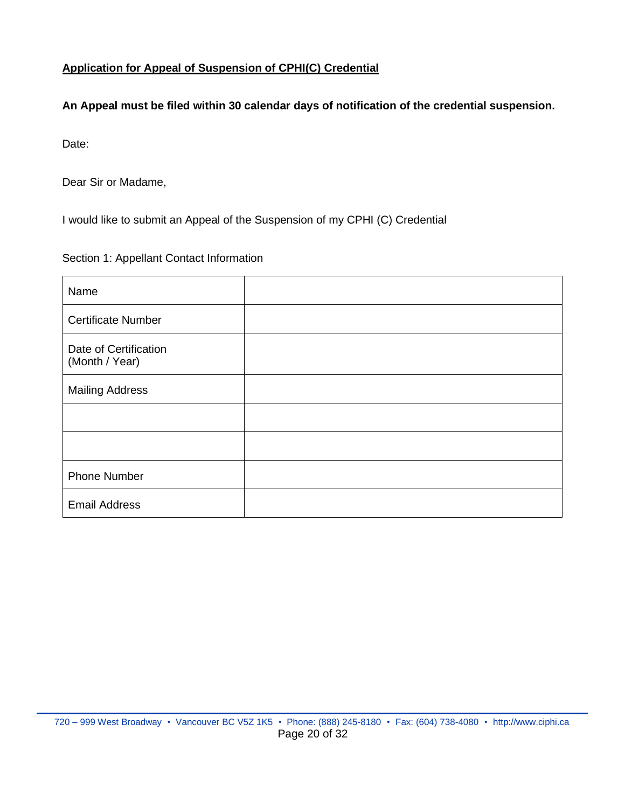## **Application for Appeal of Suspension of CPHI(C) Credential**

## **An Appeal must be filed within 30 calendar days of notification of the credential suspension.**

Date:

Dear Sir or Madame,

I would like to submit an Appeal of the Suspension of my CPHI (C) Credential

#### Section 1: Appellant Contact Information

| Name                                    |  |
|-----------------------------------------|--|
| <b>Certificate Number</b>               |  |
| Date of Certification<br>(Month / Year) |  |
| <b>Mailing Address</b>                  |  |
|                                         |  |
|                                         |  |
| <b>Phone Number</b>                     |  |
| <b>Email Address</b>                    |  |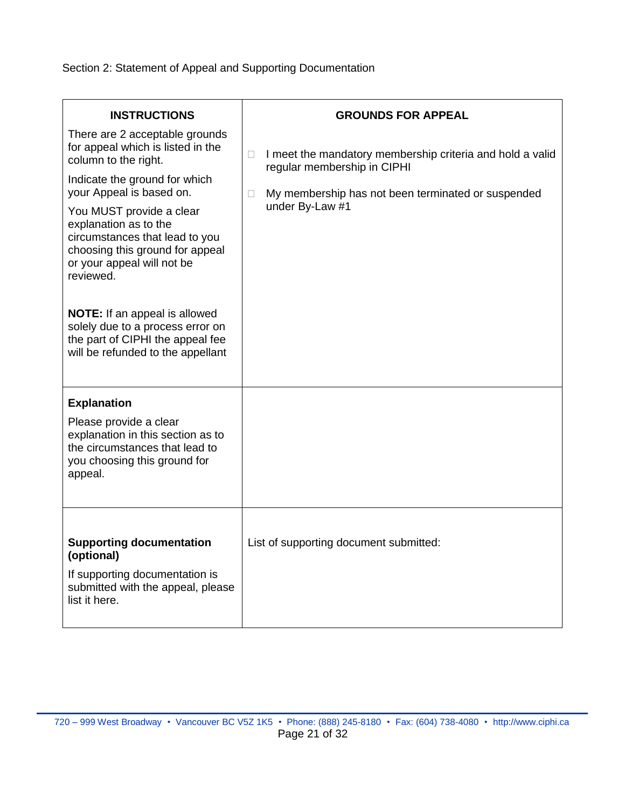Section 2: Statement of Appeal and Supporting Documentation

| <b>INSTRUCTIONS</b>                                                                                                                                                                                                                                                                                                                                                                                                                                                                | <b>GROUNDS FOR APPEAL</b>                                                                                                                                                        |
|------------------------------------------------------------------------------------------------------------------------------------------------------------------------------------------------------------------------------------------------------------------------------------------------------------------------------------------------------------------------------------------------------------------------------------------------------------------------------------|----------------------------------------------------------------------------------------------------------------------------------------------------------------------------------|
| There are 2 acceptable grounds<br>for appeal which is listed in the<br>column to the right.<br>Indicate the ground for which<br>your Appeal is based on.<br>You MUST provide a clear<br>explanation as to the<br>circumstances that lead to you<br>choosing this ground for appeal<br>or your appeal will not be<br>reviewed.<br><b>NOTE:</b> If an appeal is allowed<br>solely due to a process error on<br>the part of CIPHI the appeal fee<br>will be refunded to the appellant | I meet the mandatory membership criteria and hold a valid<br>П<br>regular membership in CIPHI<br>My membership has not been terminated or suspended<br>$\Box$<br>under By-Law #1 |
| <b>Explanation</b><br>Please provide a clear<br>explanation in this section as to<br>the circumstances that lead to<br>you choosing this ground for<br>appeal.                                                                                                                                                                                                                                                                                                                     |                                                                                                                                                                                  |
| <b>Supporting documentation</b><br>(optional)<br>If supporting documentation is<br>submitted with the appeal, please<br>list it here.                                                                                                                                                                                                                                                                                                                                              | List of supporting document submitted:                                                                                                                                           |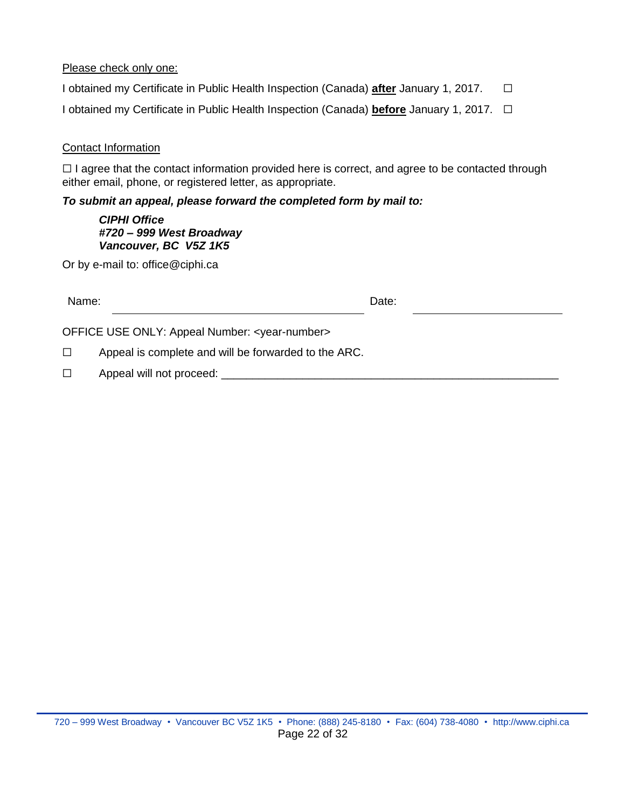#### Please check only one:

I obtained my Certificate in Public Health Inspection (Canada) **after** January 1, 2017. ☐

I obtained my Certificate in Public Health Inspection (Canada) **before** January 1, 2017. ☐

#### Contact Information

□ I agree that the contact information provided here is correct, and agree to be contacted through either email, phone, or registered letter, as appropriate.

#### *To submit an appeal, please forward the completed form by mail to:*

*CIPHI Office #720 – 999 West Broadway Vancouver, BC V5Z 1K5*

Or by e-mail to: office@ciphi.ca

| Name:  |                                                             | Date: |  |
|--------|-------------------------------------------------------------|-------|--|
|        | OFFICE USE ONLY: Appeal Number: <year-number></year-number> |       |  |
| $\Box$ | Appeal is complete and will be forwarded to the ARC.        |       |  |
| $\Box$ | Appeal will not proceed:                                    |       |  |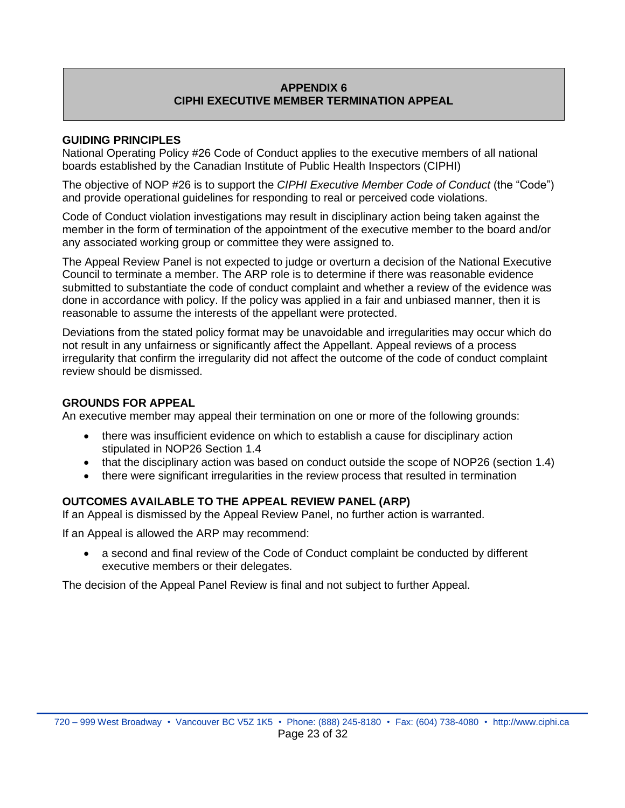## **APPENDIX 6 CIPHI EXECUTIVE MEMBER TERMINATION APPEAL**

#### <span id="page-22-0"></span>**GUIDING PRINCIPLES**

National Operating Policy #26 Code of Conduct applies to the executive members of all national boards established by the Canadian Institute of Public Health Inspectors (CIPHI)

The objective of NOP #26 is to support the *CIPHI Executive Member Code of Conduct* (the "Code") and provide operational guidelines for responding to real or perceived code violations.

Code of Conduct violation investigations may result in disciplinary action being taken against the member in the form of termination of the appointment of the executive member to the board and/or any associated working group or committee they were assigned to.

The Appeal Review Panel is not expected to judge or overturn a decision of the National Executive Council to terminate a member. The ARP role is to determine if there was reasonable evidence submitted to substantiate the code of conduct complaint and whether a review of the evidence was done in accordance with policy. If the policy was applied in a fair and unbiased manner, then it is reasonable to assume the interests of the appellant were protected.

Deviations from the stated policy format may be unavoidable and irregularities may occur which do not result in any unfairness or significantly affect the Appellant. Appeal reviews of a process irregularity that confirm the irregularity did not affect the outcome of the code of conduct complaint review should be dismissed.

#### **GROUNDS FOR APPEAL**

An executive member may appeal their termination on one or more of the following grounds:

- there was insufficient evidence on which to establish a cause for disciplinary action stipulated in NOP26 Section 1.4
- that the disciplinary action was based on conduct outside the scope of NOP26 (section 1.4)
- there were significant irregularities in the review process that resulted in termination

#### **OUTCOMES AVAILABLE TO THE APPEAL REVIEW PANEL (ARP)**

If an Appeal is dismissed by the Appeal Review Panel, no further action is warranted.

If an Appeal is allowed the ARP may recommend:

• a second and final review of the Code of Conduct complaint be conducted by different executive members or their delegates.

The decision of the Appeal Panel Review is final and not subject to further Appeal.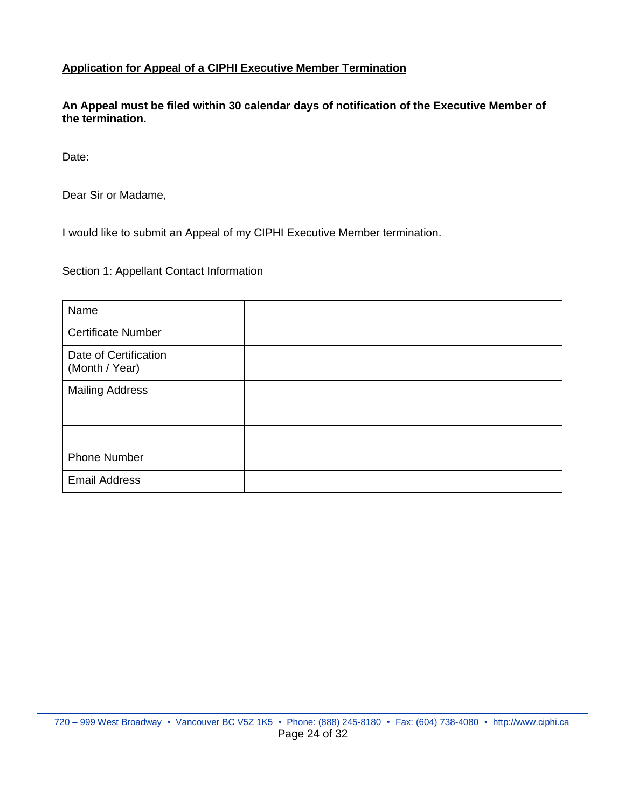#### **Application for Appeal of a CIPHI Executive Member Termination**

**An Appeal must be filed within 30 calendar days of notification of the Executive Member of the termination.**

Date:

Dear Sir or Madame,

I would like to submit an Appeal of my CIPHI Executive Member termination.

Section 1: Appellant Contact Information

| Name                                    |  |
|-----------------------------------------|--|
| <b>Certificate Number</b>               |  |
| Date of Certification<br>(Month / Year) |  |
| <b>Mailing Address</b>                  |  |
|                                         |  |
|                                         |  |
| <b>Phone Number</b>                     |  |
| <b>Email Address</b>                    |  |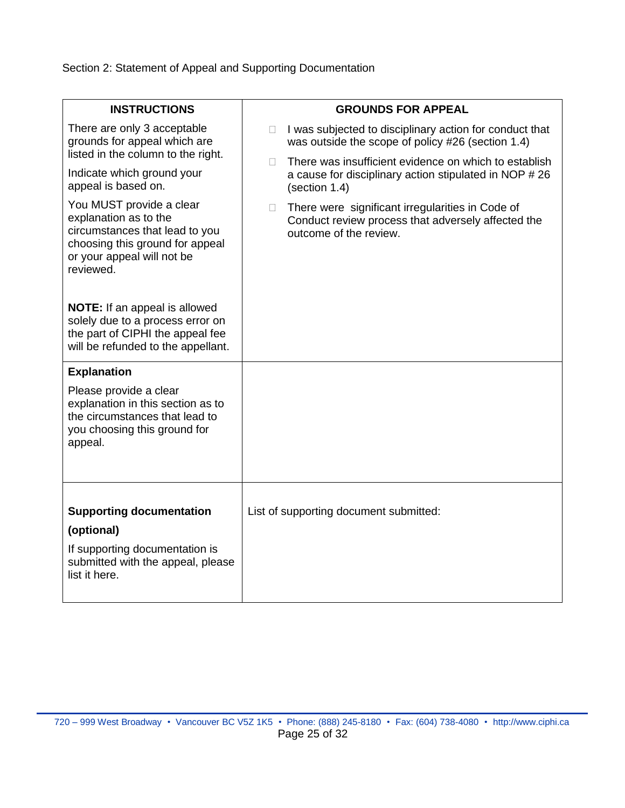Section 2: Statement of Appeal and Supporting Documentation

| <b>INSTRUCTIONS</b>                                                                                                                                               | <b>GROUNDS FOR APPEAL</b>                                                                                                              |
|-------------------------------------------------------------------------------------------------------------------------------------------------------------------|----------------------------------------------------------------------------------------------------------------------------------------|
| There are only 3 acceptable<br>grounds for appeal which are<br>listed in the column to the right.                                                                 | I was subjected to disciplinary action for conduct that<br><b>Tale</b><br>was outside the scope of policy #26 (section 1.4)            |
| Indicate which ground your<br>appeal is based on.                                                                                                                 | There was insufficient evidence on which to establish<br>П.<br>a cause for disciplinary action stipulated in NOP #26<br>(section 1.4)  |
| You MUST provide a clear<br>explanation as to the<br>circumstances that lead to you<br>choosing this ground for appeal<br>or your appeal will not be<br>reviewed. | There were significant irregularities in Code of<br>П.<br>Conduct review process that adversely affected the<br>outcome of the review. |
| <b>NOTE:</b> If an appeal is allowed<br>solely due to a process error on<br>the part of CIPHI the appeal fee<br>will be refunded to the appellant.                |                                                                                                                                        |
| <b>Explanation</b><br>Please provide a clear<br>explanation in this section as to<br>the circumstances that lead to<br>you choosing this ground for<br>appeal.    |                                                                                                                                        |
| <b>Supporting documentation</b><br>(optional)<br>If supporting documentation is<br>submitted with the appeal, please<br>list it here.                             | List of supporting document submitted:                                                                                                 |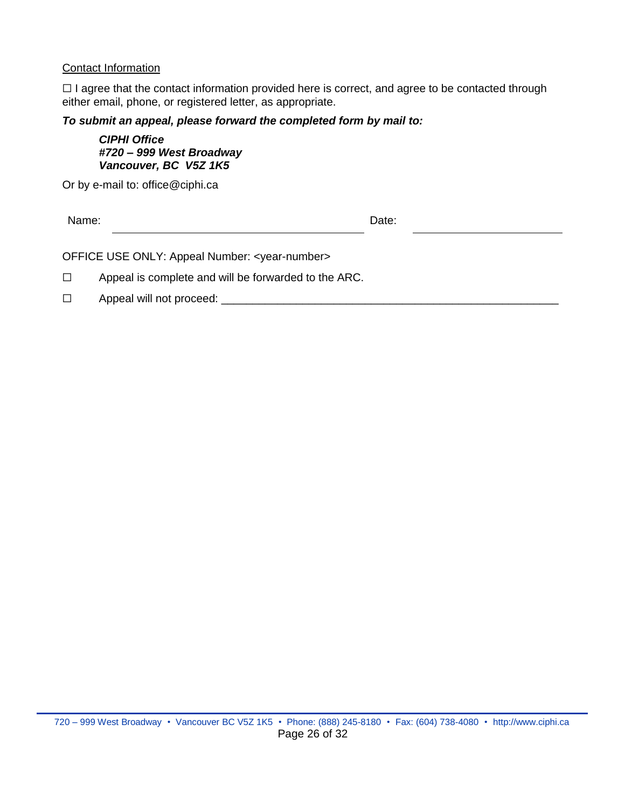#### Contact Information

□ I agree that the contact information provided here is correct, and agree to be contacted through either email, phone, or registered letter, as appropriate.

#### *To submit an appeal, please forward the completed form by mail to:*

*CIPHI Office #720 – 999 West Broadway Vancouver, BC V5Z 1K5*

Or by e-mail to: office@ciphi.ca

Name: **Name:** Date: **Name:** 2008. **Date:** 2008. 2008. 2014

OFFICE USE ONLY: Appeal Number: <year-number>

☐ Appeal is complete and will be forwarded to the ARC.

□ Appeal will not proceed: \_\_\_\_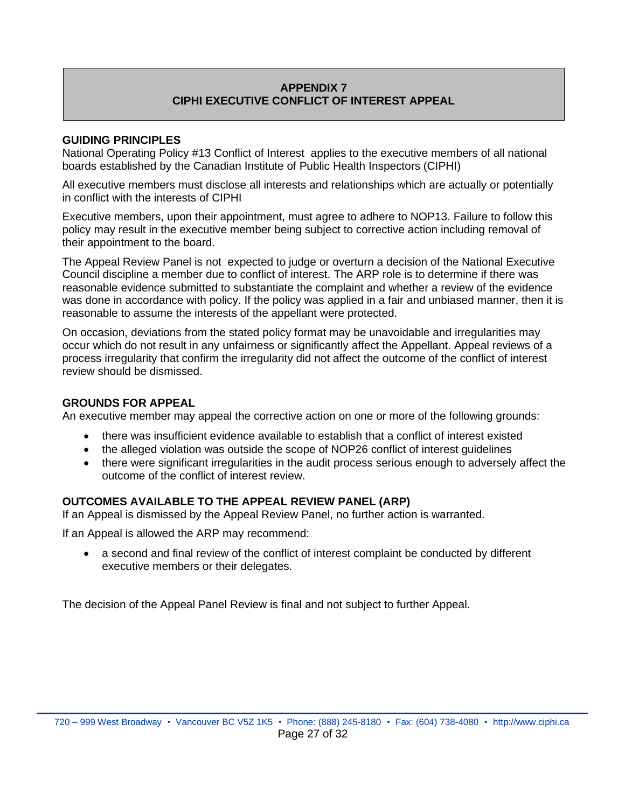## **APPENDIX 7 CIPHI EXECUTIVE CONFLICT OF INTEREST APPEAL**

#### <span id="page-26-0"></span>**GUIDING PRINCIPLES**

National Operating Policy #13 Conflict of Interest applies to the executive members of all national boards established by the Canadian Institute of Public Health Inspectors (CIPHI)

All executive members must disclose all interests and relationships which are actually or potentially in conflict with the interests of CIPHI

Executive members, upon their appointment, must agree to adhere to NOP13. Failure to follow this policy may result in the executive member being subject to corrective action including removal of their appointment to the board.

The Appeal Review Panel is not expected to judge or overturn a decision of the National Executive Council discipline a member due to conflict of interest. The ARP role is to determine if there was reasonable evidence submitted to substantiate the complaint and whether a review of the evidence was done in accordance with policy. If the policy was applied in a fair and unbiased manner, then it is reasonable to assume the interests of the appellant were protected.

On occasion, deviations from the stated policy format may be unavoidable and irregularities may occur which do not result in any unfairness or significantly affect the Appellant. Appeal reviews of a process irregularity that confirm the irregularity did not affect the outcome of the conflict of interest review should be dismissed.

#### **GROUNDS FOR APPEAL**

An executive member may appeal the corrective action on one or more of the following grounds:

- there was insufficient evidence available to establish that a conflict of interest existed
- the alleged violation was outside the scope of NOP26 conflict of interest guidelines
- there were significant irregularities in the audit process serious enough to adversely affect the outcome of the conflict of interest review.

## **OUTCOMES AVAILABLE TO THE APPEAL REVIEW PANEL (ARP)**

If an Appeal is dismissed by the Appeal Review Panel, no further action is warranted.

If an Appeal is allowed the ARP may recommend:

• a second and final review of the conflict of interest complaint be conducted by different executive members or their delegates.

The decision of the Appeal Panel Review is final and not subject to further Appeal.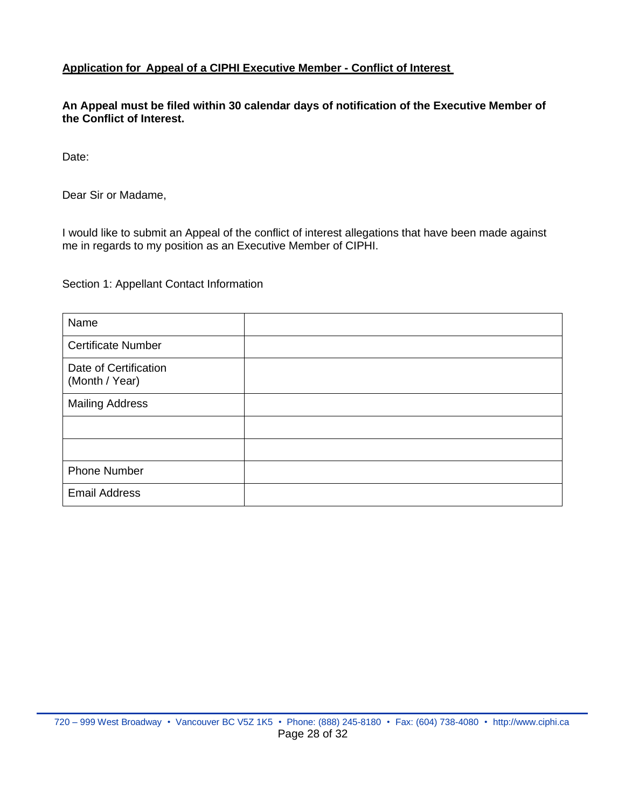#### **Application for Appeal of a CIPHI Executive Member - Conflict of Interest**

**An Appeal must be filed within 30 calendar days of notification of the Executive Member of the Conflict of Interest.**

Date:

Dear Sir or Madame,

I would like to submit an Appeal of the conflict of interest allegations that have been made against me in regards to my position as an Executive Member of CIPHI.

Section 1: Appellant Contact Information

| Name                                    |  |
|-----------------------------------------|--|
| <b>Certificate Number</b>               |  |
| Date of Certification<br>(Month / Year) |  |
| <b>Mailing Address</b>                  |  |
|                                         |  |
|                                         |  |
| <b>Phone Number</b>                     |  |
| <b>Email Address</b>                    |  |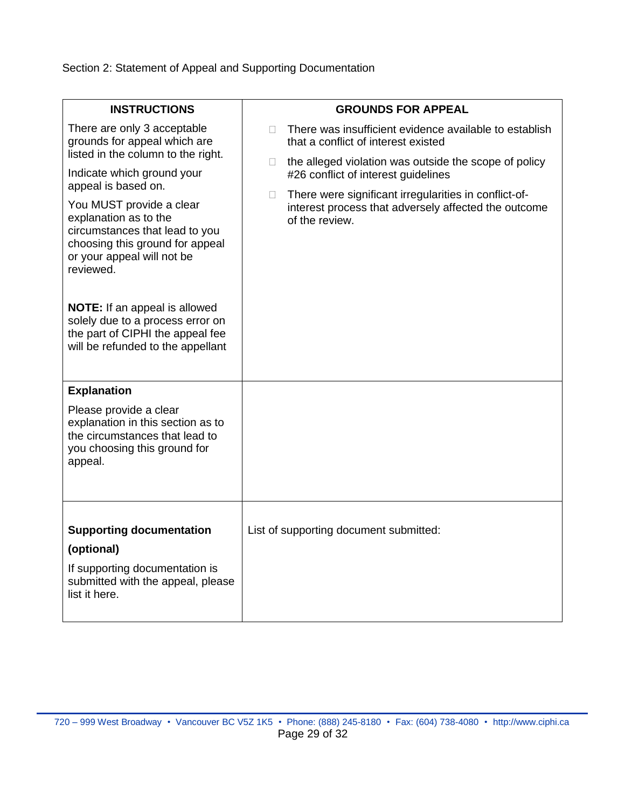Section 2: Statement of Appeal and Supporting Documentation

| <b>INSTRUCTIONS</b>                                                                                                                                                                                                                                                                                                                                                                                                                                                              | <b>GROUNDS FOR APPEAL</b>                                                                                                                                                                                                                                                                                                                        |
|----------------------------------------------------------------------------------------------------------------------------------------------------------------------------------------------------------------------------------------------------------------------------------------------------------------------------------------------------------------------------------------------------------------------------------------------------------------------------------|--------------------------------------------------------------------------------------------------------------------------------------------------------------------------------------------------------------------------------------------------------------------------------------------------------------------------------------------------|
| There are only 3 acceptable<br>grounds for appeal which are<br>listed in the column to the right.<br>Indicate which ground your<br>appeal is based on.<br>You MUST provide a clear<br>explanation as to the<br>circumstances that lead to you<br>choosing this ground for appeal<br>or your appeal will not be<br>reviewed.<br><b>NOTE:</b> If an appeal is allowed<br>solely due to a process error on<br>the part of CIPHI the appeal fee<br>will be refunded to the appellant | There was insufficient evidence available to establish<br>that a conflict of interest existed<br>the alleged violation was outside the scope of policy<br>П.<br>#26 conflict of interest guidelines<br>There were significant irregularities in conflict-of-<br>$\Box$<br>interest process that adversely affected the outcome<br>of the review. |
| <b>Explanation</b><br>Please provide a clear<br>explanation in this section as to<br>the circumstances that lead to<br>you choosing this ground for<br>appeal.                                                                                                                                                                                                                                                                                                                   |                                                                                                                                                                                                                                                                                                                                                  |
| <b>Supporting documentation</b><br>(optional)<br>If supporting documentation is<br>submitted with the appeal, please<br>list it here.                                                                                                                                                                                                                                                                                                                                            | List of supporting document submitted:                                                                                                                                                                                                                                                                                                           |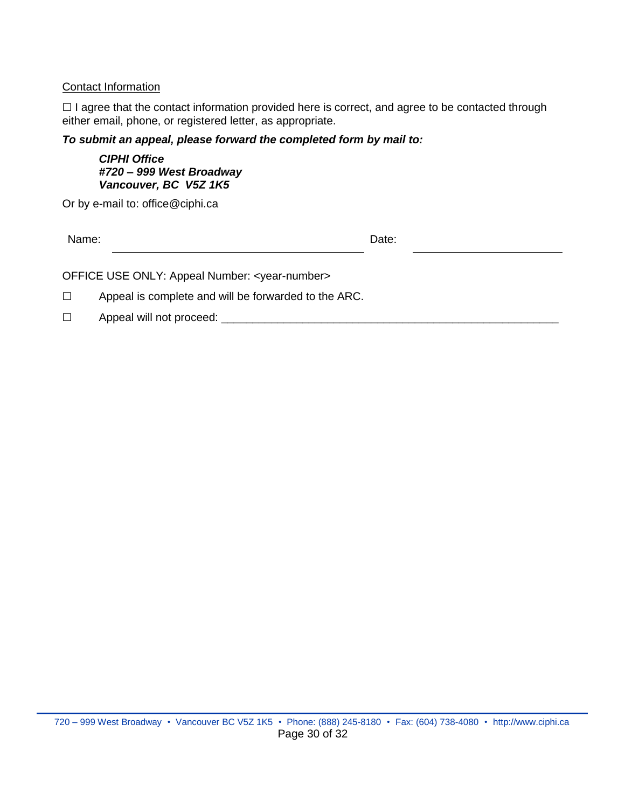#### Contact Information

□ I agree that the contact information provided here is correct, and agree to be contacted through either email, phone, or registered letter, as appropriate.

*To submit an appeal, please forward the completed form by mail to:*

*CIPHI Office #720 – 999 West Broadway Vancouver, BC V5Z 1K5*

Or by e-mail to: office@ciphi.ca

Name: **Name:** Date: **Name:** 2008. **Date:** 2008. **Date:** 2008. **Date:** 2008. **Date:** 2008. 2014. 2015. 2016. 2016. 2016. 2017. 2018. 2017. 2018. 2017. 2018. 2017. 2018. 2017. 2018. 2017. 2018. 2017. 2018. 2017. 2018. 2017.

OFFICE USE ONLY: Appeal Number: <year-number>

☐ Appeal is complete and will be forwarded to the ARC.

☐ Appeal will not proceed: \_\_\_\_\_\_\_\_\_\_\_\_\_\_\_\_\_\_\_\_\_\_\_\_\_\_\_\_\_\_\_\_\_\_\_\_\_\_\_\_\_\_\_\_\_\_\_\_\_\_\_\_\_\_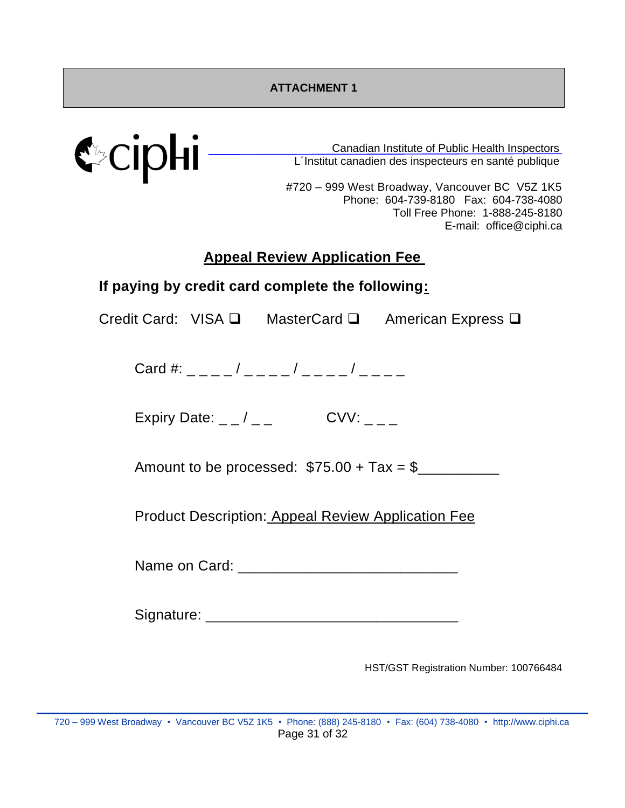<span id="page-30-0"></span>

Canadian Institute of Public Health Inspectors L´Institut canadien des inspecteurs en santé publique

#720 – 999 West Broadway, Vancouver BC V5Z 1K5 Phone: 604-739-8180 Fax: 604-738-4080 Toll Free Phone: 1-888-245-8180 E-mail: office@ciphi.ca

# **Appeal Review Application Fee**

# **If paying by credit card complete the following:**

Credit Card: VISA ❑ MasterCard ❑ American Express ❑

Card #:  $\frac{1}{2}$  \_ \_ \_ \_ / \_ \_ \_ \_ / \_ \_ \_ \_ / \_ \_ \_ \_

Expiry Date:  $_$   $_$  /  $_$   $_$   $_-$  CVV:  $_$   $_$   $_$ 

Amount to be processed:  $$75.00 + Tax = $$ 

Product Description: Appeal Review Application Fee

Name on Card: \_\_\_\_\_\_\_\_\_\_\_\_\_\_\_\_\_\_\_\_\_\_\_\_\_\_\_

Signature: \_\_\_\_\_\_\_\_\_\_\_\_\_\_\_\_\_\_\_\_\_\_\_\_\_\_\_\_\_\_\_

HST/GST Registration Number: 100766484